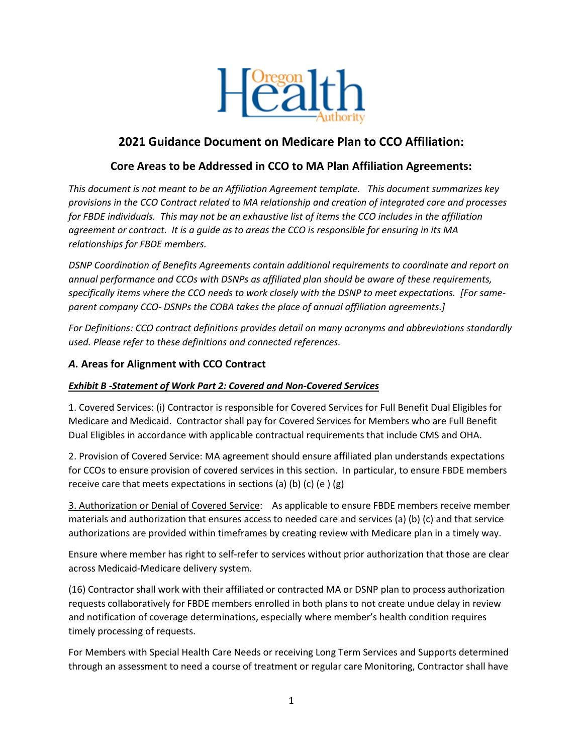

# **2021 Guidance Document on Medicare Plan to CCO Affiliation:**

# **Core Areas to be Addressed in CCO to MA Plan Affiliation Agreements:**

*This document is not meant to be an Affiliation Agreement template. This document summarizes key provisions in the CCO Contract related to MA relationship and creation of integrated care and processes for FBDE individuals. This may not be an exhaustive list of items the CCO includes in the affiliation agreement or contract. It is a guide as to areas the CCO is responsible for ensuring in its MA relationships for FBDE members.* 

*DSNP Coordination of Benefits Agreements contain additional requirements to coordinate and report on annual performance and CCOs with DSNPs as affiliated plan should be aware of these requirements, specifically items where the CCO needs to work closely with the DSNP to meet expectations. [For sameparent company CCO- DSNPs the COBA takes the place of annual affiliation agreements.]* 

*For Definitions: CCO contract definitions provides detail on many acronyms and abbreviations standardly used. Please refer to these definitions and connected references.* 

# *A.* **Areas for Alignment with CCO Contract**

### *Exhibit B -Statement of Work Part 2: Covered and Non-Covered Services*

1. Covered Services: (i) Contractor is responsible for Covered Services for Full Benefit Dual Eligibles for Medicare and Medicaid. Contractor shall pay for Covered Services for Members who are Full Benefit Dual Eligibles in accordance with applicable contractual requirements that include CMS and OHA.

2. Provision of Covered Service: MA agreement should ensure affiliated plan understands expectations for CCOs to ensure provision of covered services in this section. In particular, to ensure FBDE members receive care that meets expectations in sections (a) (b) (c) (e)  $(g)$ 

3. Authorization or Denial of Covered Service: As applicable to ensure FBDE members receive member materials and authorization that ensures access to needed care and services (a) (b) (c) and that service authorizations are provided within timeframes by creating review with Medicare plan in a timely way.

Ensure where member has right to self-refer to services without prior authorization that those are clear across Medicaid-Medicare delivery system.

(16) Contractor shall work with their affiliated or contracted MA or DSNP plan to process authorization requests collaboratively for FBDE members enrolled in both plans to not create undue delay in review and notification of coverage determinations, especially where member's health condition requires timely processing of requests.

For Members with Special Health Care Needs or receiving Long Term Services and Supports determined through an assessment to need a course of treatment or regular care Monitoring, Contractor shall have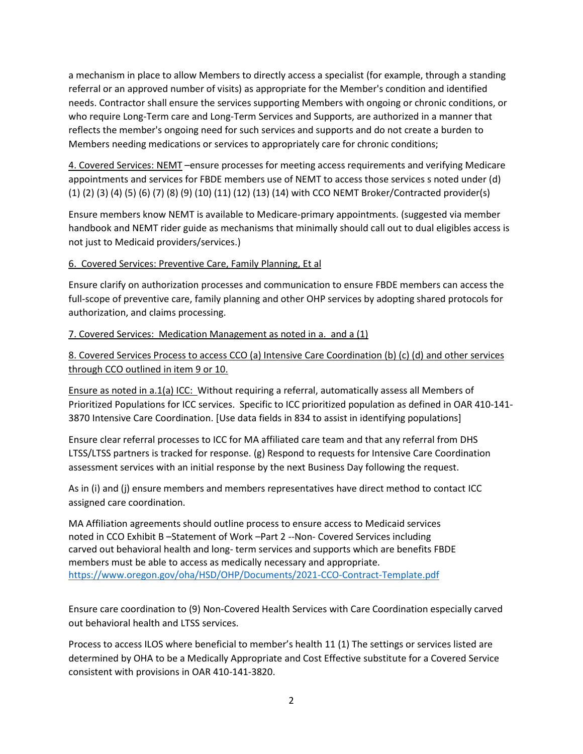a mechanism in place to allow Members to directly access a specialist (for example, through a standing referral or an approved number of visits) as appropriate for the Member's condition and identified needs. Contractor shall ensure the services supporting Members with ongoing or chronic conditions, or who require Long-Term care and Long-Term Services and Supports, are authorized in a manner that reflects the member's ongoing need for such services and supports and do not create a burden to Members needing medications or services to appropriately care for chronic conditions;

4. Covered Services: NEMT –ensure processes for meeting access requirements and verifying Medicare appointments and services for FBDE members use of NEMT to access those services s noted under (d) (1) (2) (3) (4) (5) (6) (7) (8) (9) (10) (11) (12) (13) (14) with CCO NEMT Broker/Contracted provider(s)

Ensure members know NEMT is available to Medicare-primary appointments. (suggested via member handbook and NEMT rider guide as mechanisms that minimally should call out to dual eligibles access is not just to Medicaid providers/services.)

6. Covered Services: Preventive Care, Family Planning, Et al

Ensure clarify on authorization processes and communication to ensure FBDE members can access the full-scope of preventive care, family planning and other OHP services by adopting shared protocols for authorization, and claims processing.

7. Covered Services: Medication Management as noted in a. and a (1)

8. Covered Services Process to access CCO (a) Intensive Care Coordination (b) (c) (d) and other services through CCO outlined in item 9 or 10.

Ensure as noted in a.1(a) ICC: Without requiring a referral, automatically assess all Members of Prioritized Populations for ICC services. Specific to ICC prioritized population as defined in OAR 410-141- 3870 Intensive Care Coordination. [Use data fields in 834 to assist in identifying populations]

Ensure clear referral processes to ICC for MA affiliated care team and that any referral from DHS LTSS/LTSS partners is tracked for response. (g) Respond to requests for Intensive Care Coordination assessment services with an initial response by the next Business Day following the request.

As in (i) and (j) ensure members and members representatives have direct method to contact ICC assigned care coordination.

MA Affiliation agreements should outline process to ensure access to Medicaid services noted in CCO Exhibit B –Statement of Work –Part 2 --Non- Covered Services including carved out behavioral health and long- term services and supports which are benefits FBDE members must be able to access as medically necessary and appropriate. <https://www.oregon.gov/oha/HSD/OHP/Documents/2021-CCO-Contract-Template.pdf>

Ensure care coordination to (9) Non-Covered Health Services with Care Coordination especially carved out behavioral health and LTSS services.

Process to access ILOS where beneficial to member's health 11 (1) The settings or services listed are determined by OHA to be a Medically Appropriate and Cost Effective substitute for a Covered Service consistent with provisions in OAR 410-141-3820.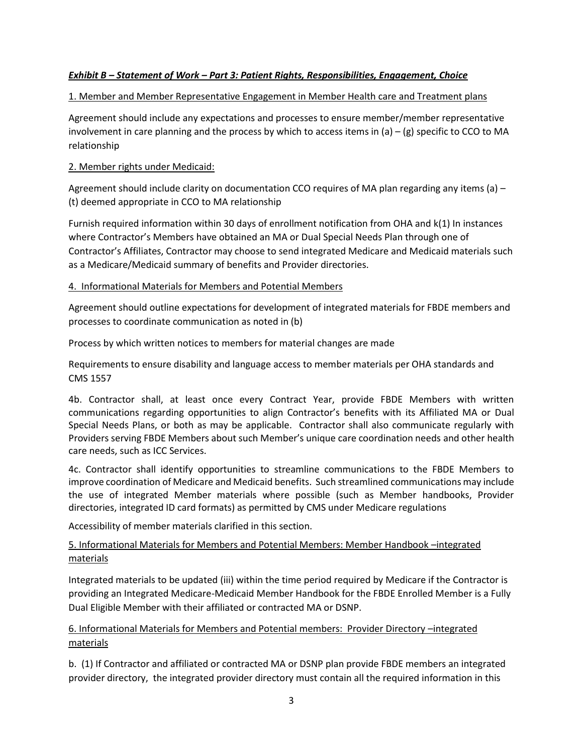#### *Exhibit B – Statement of Work – Part 3: Patient Rights, Responsibilities, Engagement, Choice*

#### 1. Member and Member Representative Engagement in Member Health care and Treatment plans

Agreement should include any expectations and processes to ensure member/member representative involvement in care planning and the process by which to access items in  $(a) - (g)$  specific to CCO to MA relationship

#### 2. Member rights under Medicaid:

Agreement should include clarity on documentation CCO requires of MA plan regarding any items (a) – (t) deemed appropriate in CCO to MA relationship

Furnish required information within 30 days of enrollment notification from OHA and k(1) In instances where Contractor's Members have obtained an MA or Dual Special Needs Plan through one of Contractor's Affiliates, Contractor may choose to send integrated Medicare and Medicaid materials such as a Medicare/Medicaid summary of benefits and Provider directories.

#### 4. Informational Materials for Members and Potential Members

Agreement should outline expectations for development of integrated materials for FBDE members and processes to coordinate communication as noted in (b)

Process by which written notices to members for material changes are made

Requirements to ensure disability and language access to member materials per OHA standards and CMS 1557

4b. Contractor shall, at least once every Contract Year, provide FBDE Members with written communications regarding opportunities to align Contractor's benefits with its Affiliated MA or Dual Special Needs Plans, or both as may be applicable. Contractor shall also communicate regularly with Providers serving FBDE Members about such Member's unique care coordination needs and other health care needs, such as ICC Services.

4c. Contractor shall identify opportunities to streamline communications to the FBDE Members to improve coordination of Medicare and Medicaid benefits. Such streamlined communications may include the use of integrated Member materials where possible (such as Member handbooks, Provider directories, integrated ID card formats) as permitted by CMS under Medicare regulations

Accessibility of member materials clarified in this section.

# 5. Informational Materials for Members and Potential Members: Member Handbook –integrated materials

Integrated materials to be updated (iii) within the time period required by Medicare if the Contractor is providing an Integrated Medicare-Medicaid Member Handbook for the FBDE Enrolled Member is a Fully Dual Eligible Member with their affiliated or contracted MA or DSNP.

# 6. Informational Materials for Members and Potential members: Provider Directory –integrated materials

b. (1) If Contractor and affiliated or contracted MA or DSNP plan provide FBDE members an integrated provider directory, the integrated provider directory must contain all the required information in this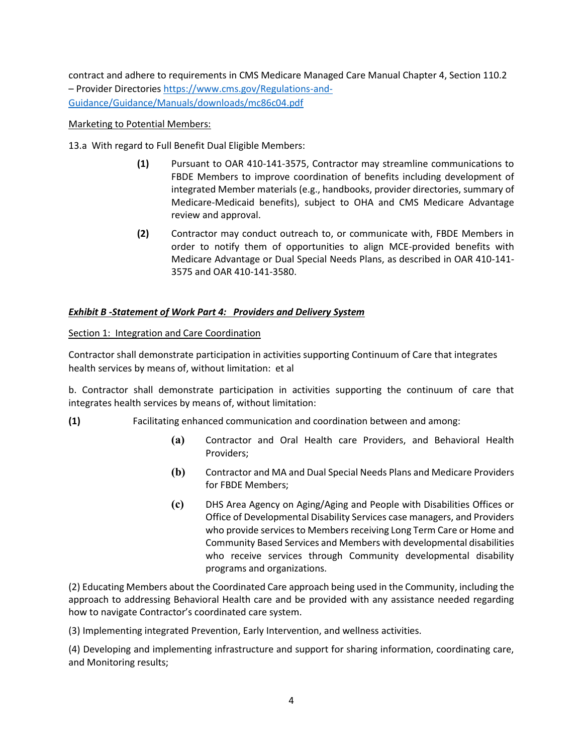contract and adhere to requirements in CMS Medicare Managed Care Manual Chapter 4, Section 110.2 – Provider Directorie[s https://www.cms.gov/Regulations-and-](https://www.cms.gov/Regulations-and-Guidance/Guidance/Manuals/downloads/mc86c04.pdf)[Guidance/Guidance/Manuals/downloads/mc86c04.pdf](https://www.cms.gov/Regulations-and-Guidance/Guidance/Manuals/downloads/mc86c04.pdf)

#### Marketing to Potential Members:

13.a With regard to Full Benefit Dual Eligible Members:

- **(1)** Pursuant to OAR 410-141-3575, Contractor may streamline communications to FBDE Members to improve coordination of benefits including development of integrated Member materials (e.g., handbooks, provider directories, summary of Medicare-Medicaid benefits), subject to OHA and CMS Medicare Advantage review and approval.
- **(2)** Contractor may conduct outreach to, or communicate with, FBDE Members in order to notify them of opportunities to align MCE-provided benefits with Medicare Advantage or Dual Special Needs Plans, as described in OAR 410-141- 3575 and OAR 410-141-3580.

#### *Exhibit B -Statement of Work Part 4: Providers and Delivery System*

Section 1: Integration and Care Coordination

Contractor shall demonstrate participation in activities supporting Continuum of Care that integrates health services by means of, without limitation: et al

b. Contractor shall demonstrate participation in activities supporting the continuum of care that integrates health services by means of, without limitation:

- **(1)** Facilitating enhanced communication and coordination between and among:
	- **(a)** Contractor and Oral Health care Providers, and Behavioral Health Providers;
	- **(b)** Contractor and MA and Dual Special Needs Plans and Medicare Providers for FBDE Members;
	- **(c)** DHS Area Agency on Aging/Aging and People with Disabilities Offices or Office of Developmental Disability Services case managers, and Providers who provide services to Members receiving Long Term Care or Home and Community Based Services and Members with developmental disabilities who receive services through Community developmental disability programs and organizations.

(2) Educating Members about the Coordinated Care approach being used in the Community, including the approach to addressing Behavioral Health care and be provided with any assistance needed regarding how to navigate Contractor's coordinated care system.

(3) Implementing integrated Prevention, Early Intervention, and wellness activities.

(4) Developing and implementing infrastructure and support for sharing information, coordinating care, and Monitoring results;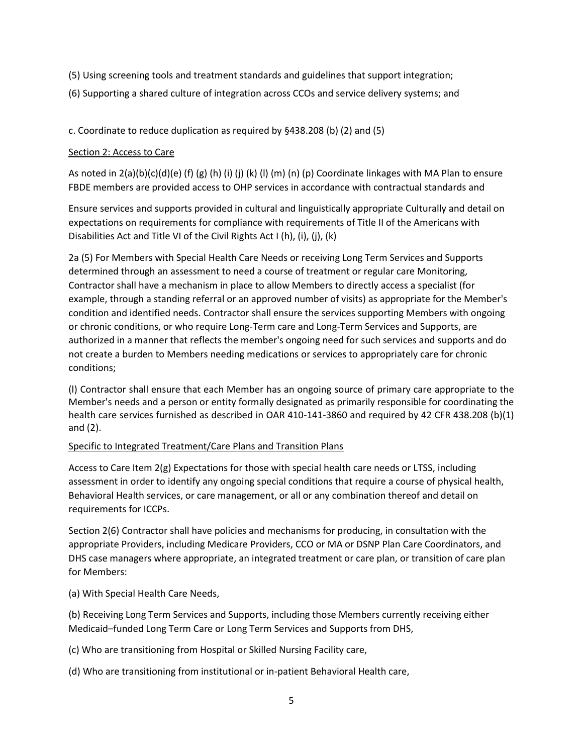- (5) Using screening tools and treatment standards and guidelines that support integration;
- (6) Supporting a shared culture of integration across CCOs and service delivery systems; and

#### c. Coordinate to reduce duplication as required by §438.208 (b) (2) and (5)

#### Section 2: Access to Care

As noted in  $2(a)(b)(c)(d)(e)$  (f)  $(g)$  (h) (i) (j) (k) (l) (m) (n) (p) Coordinate linkages with MA Plan to ensure FBDE members are provided access to OHP services in accordance with contractual standards and

Ensure services and supports provided in cultural and linguistically appropriate Culturally and detail on expectations on requirements for compliance with requirements of Title II of the Americans with Disabilities Act and Title VI of the Civil Rights Act I (h), (i), (j), (k)

2a (5) For Members with Special Health Care Needs or receiving Long Term Services and Supports determined through an assessment to need a course of treatment or regular care Monitoring, Contractor shall have a mechanism in place to allow Members to directly access a specialist (for example, through a standing referral or an approved number of visits) as appropriate for the Member's condition and identified needs. Contractor shall ensure the services supporting Members with ongoing or chronic conditions, or who require Long-Term care and Long-Term Services and Supports, are authorized in a manner that reflects the member's ongoing need for such services and supports and do not create a burden to Members needing medications or services to appropriately care for chronic conditions;

(l) Contractor shall ensure that each Member has an ongoing source of primary care appropriate to the Member's needs and a person or entity formally designated as primarily responsible for coordinating the health care services furnished as described in OAR 410-141-3860 and required by 42 CFR 438.208 (b)(1) and (2).

#### Specific to Integrated Treatment/Care Plans and Transition Plans

Access to Care Item 2(g) Expectations for those with special health care needs or LTSS, including assessment in order to identify any ongoing special conditions that require a course of physical health, Behavioral Health services, or care management, or all or any combination thereof and detail on requirements for ICCPs.

Section 2(6) Contractor shall have policies and mechanisms for producing, in consultation with the appropriate Providers, including Medicare Providers, CCO or MA or DSNP Plan Care Coordinators, and DHS case managers where appropriate, an integrated treatment or care plan, or transition of care plan for Members:

(a) With Special Health Care Needs,

(b) Receiving Long Term Services and Supports, including those Members currently receiving either Medicaid–funded Long Term Care or Long Term Services and Supports from DHS,

(c) Who are transitioning from Hospital or Skilled Nursing Facility care,

(d) Who are transitioning from institutional or in-patient Behavioral Health care,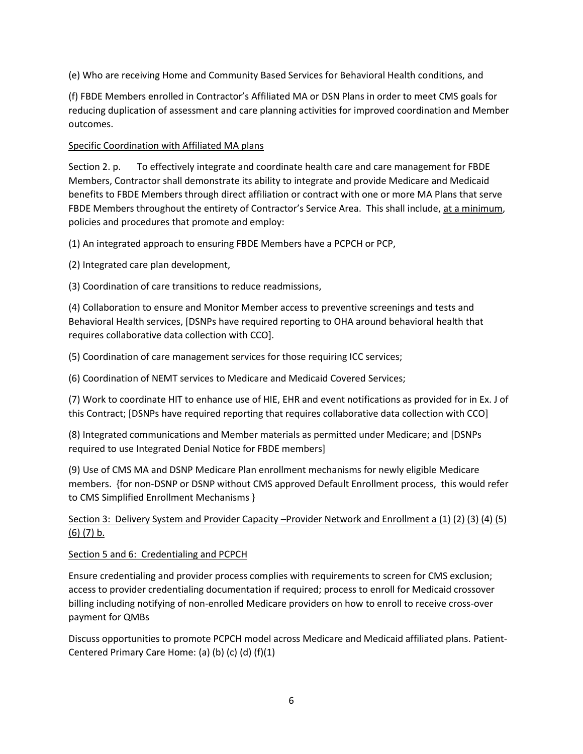(e) Who are receiving Home and Community Based Services for Behavioral Health conditions, and

(f) FBDE Members enrolled in Contractor's Affiliated MA or DSN Plans in order to meet CMS goals for reducing duplication of assessment and care planning activities for improved coordination and Member outcomes.

#### Specific Coordination with Affiliated MA plans

Section 2. p. To effectively integrate and coordinate health care and care management for FBDE Members, Contractor shall demonstrate its ability to integrate and provide Medicare and Medicaid benefits to FBDE Members through direct affiliation or contract with one or more MA Plans that serve FBDE Members throughout the entirety of Contractor's Service Area. This shall include, at a minimum, policies and procedures that promote and employ:

(1) An integrated approach to ensuring FBDE Members have a PCPCH or PCP,

(2) Integrated care plan development,

(3) Coordination of care transitions to reduce readmissions,

(4) Collaboration to ensure and Monitor Member access to preventive screenings and tests and Behavioral Health services, [DSNPs have required reporting to OHA around behavioral health that requires collaborative data collection with CCO].

(5) Coordination of care management services for those requiring ICC services;

(6) Coordination of NEMT services to Medicare and Medicaid Covered Services;

(7) Work to coordinate HIT to enhance use of HIE, EHR and event notifications as provided for in Ex. J of this Contract; [DSNPs have required reporting that requires collaborative data collection with CCO]

(8) Integrated communications and Member materials as permitted under Medicare; and [DSNPs required to use Integrated Denial Notice for FBDE members]

(9) Use of CMS MA and DSNP Medicare Plan enrollment mechanisms for newly eligible Medicare members. {for non-DSNP or DSNP without CMS approved Default Enrollment process, this would refer to CMS Simplified Enrollment Mechanisms }

# Section 3: Delivery System and Provider Capacity –Provider Network and Enrollment a (1) (2) (3) (4) (5) (6) (7) b.

#### Section 5 and 6: Credentialing and PCPCH

Ensure credentialing and provider process complies with requirements to screen for CMS exclusion; access to provider credentialing documentation if required; process to enroll for Medicaid crossover billing including notifying of non-enrolled Medicare providers on how to enroll to receive cross-over payment for QMBs

Discuss opportunities to promote PCPCH model across Medicare and Medicaid affiliated plans. Patient-Centered Primary Care Home: (a) (b) (c) (d) (f)(1)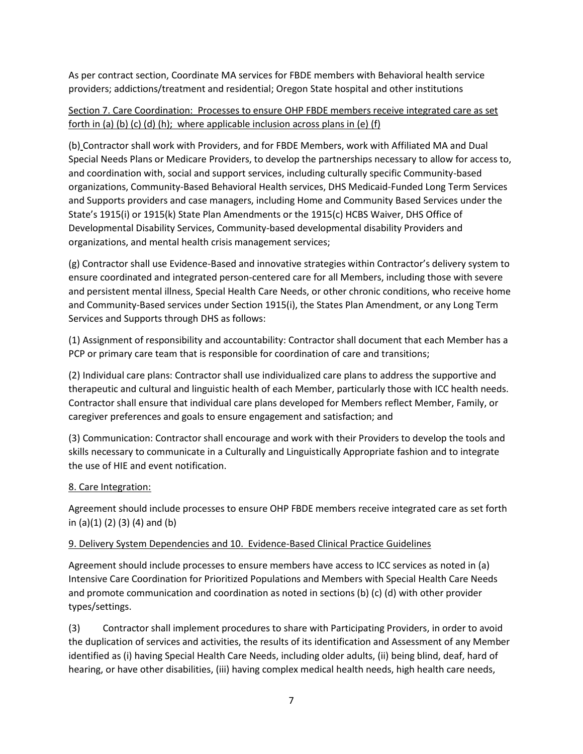As per contract section, Coordinate MA services for FBDE members with Behavioral health service providers; addictions/treatment and residential; Oregon State hospital and other institutions

# Section 7. Care Coordination: Processes to ensure OHP FBDE members receive integrated care as set forth in (a) (b) (c) (d) (h); where applicable inclusion across plans in (e) (f)

(b) Contractor shall work with Providers, and for FBDE Members, work with Affiliated MA and Dual Special Needs Plans or Medicare Providers, to develop the partnerships necessary to allow for access to, and coordination with, social and support services, including culturally specific Community-based organizations, Community-Based Behavioral Health services, DHS Medicaid-Funded Long Term Services and Supports providers and case managers, including Home and Community Based Services under the State's 1915(i) or 1915(k) State Plan Amendments or the 1915(c) HCBS Waiver, DHS Office of Developmental Disability Services, Community-based developmental disability Providers and organizations, and mental health crisis management services;

(g) Contractor shall use Evidence-Based and innovative strategies within Contractor's delivery system to ensure coordinated and integrated person-centered care for all Members, including those with severe and persistent mental illness, Special Health Care Needs, or other chronic conditions, who receive home and Community-Based services under Section 1915(i), the States Plan Amendment, or any Long Term Services and Supports through DHS as follows:

(1) Assignment of responsibility and accountability: Contractor shall document that each Member has a PCP or primary care team that is responsible for coordination of care and transitions;

(2) Individual care plans: Contractor shall use individualized care plans to address the supportive and therapeutic and cultural and linguistic health of each Member, particularly those with ICC health needs. Contractor shall ensure that individual care plans developed for Members reflect Member, Family, or caregiver preferences and goals to ensure engagement and satisfaction; and

(3) Communication: Contractor shall encourage and work with their Providers to develop the tools and skills necessary to communicate in a Culturally and Linguistically Appropriate fashion and to integrate the use of HIE and event notification.

### 8. Care Integration:

Agreement should include processes to ensure OHP FBDE members receive integrated care as set forth in (a)(1) (2) (3) (4) and (b)

### 9. Delivery System Dependencies and 10. Evidence-Based Clinical Practice Guidelines

Agreement should include processes to ensure members have access to ICC services as noted in (a) Intensive Care Coordination for Prioritized Populations and Members with Special Health Care Needs and promote communication and coordination as noted in sections (b) (c) (d) with other provider types/settings.

(3) Contractor shall implement procedures to share with Participating Providers, in order to avoid the duplication of services and activities, the results of its identification and Assessment of any Member identified as (i) having Special Health Care Needs, including older adults, (ii) being blind, deaf, hard of hearing, or have other disabilities, (iii) having complex medical health needs, high health care needs,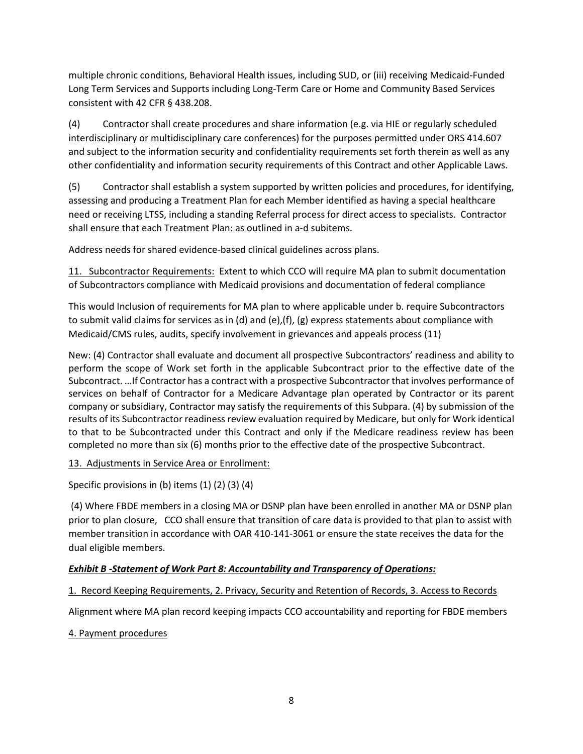multiple chronic conditions, Behavioral Health issues, including SUD, or (iii) receiving Medicaid-Funded Long Term Services and Supports including Long-Term Care or Home and Community Based Services consistent with 42 CFR § 438.208.

(4) Contractor shall create procedures and share information (e.g. via HIE or regularly scheduled interdisciplinary or multidisciplinary care conferences) for the purposes permitted under ORS 414.607 and subject to the information security and confidentiality requirements set forth therein as well as any other confidentiality and information security requirements of this Contract and other Applicable Laws.

(5) Contractor shall establish a system supported by written policies and procedures, for identifying, assessing and producing a Treatment Plan for each Member identified as having a special healthcare need or receiving LTSS, including a standing Referral process for direct access to specialists. Contractor shall ensure that each Treatment Plan: as outlined in a-d subitems.

Address needs for shared evidence-based clinical guidelines across plans.

11. Subcontractor Requirements: Extent to which CCO will require MA plan to submit documentation of Subcontractors compliance with Medicaid provisions and documentation of federal compliance

This would Inclusion of requirements for MA plan to where applicable under b. require Subcontractors to submit valid claims for services as in (d) and (e),(f), (g) express statements about compliance with Medicaid/CMS rules, audits, specify involvement in grievances and appeals process (11)

New: (4) Contractor shall evaluate and document all prospective Subcontractors' readiness and ability to perform the scope of Work set forth in the applicable Subcontract prior to the effective date of the Subcontract. …If Contractor has a contract with a prospective Subcontractor that involves performance of services on behalf of Contractor for a Medicare Advantage plan operated by Contractor or its parent company or subsidiary, Contractor may satisfy the requirements of this Subpara. (4) by submission of the results of its Subcontractor readiness review evaluation required by Medicare, but only for Work identical to that to be Subcontracted under this Contract and only if the Medicare readiness review has been completed no more than six (6) months prior to the effective date of the prospective Subcontract.

### 13. Adjustments in Service Area or Enrollment:

Specific provisions in (b) items (1) (2) (3) (4)

(4) Where FBDE members in a closing MA or DSNP plan have been enrolled in another MA or DSNP plan prior to plan closure, CCO shall ensure that transition of care data is provided to that plan to assist with member transition in accordance with OAR 410-141-3061 or ensure the state receives the data for the dual eligible members.

#### *Exhibit B -Statement of Work Part 8: Accountability and Transparency of Operations:*

### 1. Record Keeping Requirements, 2. Privacy, Security and Retention of Records, 3. Access to Records

Alignment where MA plan record keeping impacts CCO accountability and reporting for FBDE members

#### 4. Payment procedures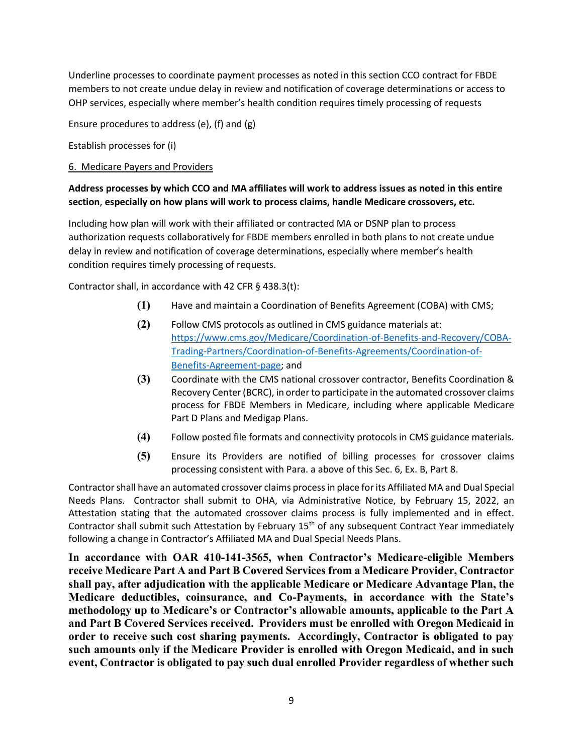Underline processes to coordinate payment processes as noted in this section CCO contract for FBDE members to not create undue delay in review and notification of coverage determinations or access to OHP services, especially where member's health condition requires timely processing of requests

Ensure procedures to address (e), (f) and (g)

Establish processes for (i)

#### 6. Medicare Payers and Providers

#### **Address processes by which CCO and MA affiliates will work to address issues as noted in this entire section**, **especially on how plans will work to process claims, handle Medicare crossovers, etc.**

Including how plan will work with their affiliated or contracted MA or DSNP plan to process authorization requests collaboratively for FBDE members enrolled in both plans to not create undue delay in review and notification of coverage determinations, especially where member's health condition requires timely processing of requests.

Contractor shall, in accordance with 42 CFR § 438.3(t):

- **(1)** Have and maintain a Coordination of Benefits Agreement (COBA) with CMS;
- **(2)** Follow CMS protocols as outlined in CMS guidance materials at: [https://www.cms.gov/Medicare/Coordination-of-Benefits-and-Recovery/COBA-](https://www.cms.gov/Medicare/Coordination-of-Benefits-and-Recovery/COBA-Trading-Partners/Coordination-of-Benefits-Agreements/Coordination-of-Benefits-Agreement-page)[Trading-Partners/Coordination-of-Benefits-Agreements/Coordination-of-](https://www.cms.gov/Medicare/Coordination-of-Benefits-and-Recovery/COBA-Trading-Partners/Coordination-of-Benefits-Agreements/Coordination-of-Benefits-Agreement-page)[Benefits-Agreement-page;](https://www.cms.gov/Medicare/Coordination-of-Benefits-and-Recovery/COBA-Trading-Partners/Coordination-of-Benefits-Agreements/Coordination-of-Benefits-Agreement-page) and
- **(3)** Coordinate with the CMS national crossover contractor, Benefits Coordination & Recovery Center (BCRC), in order to participate in the automated crossover claims process for FBDE Members in Medicare, including where applicable Medicare Part D Plans and Medigap Plans.
- **(4)** Follow posted file formats and connectivity protocols in CMS guidance materials.
- **(5)** Ensure its Providers are notified of billing processes for crossover claims processing consistent with Para. a above of this Sec. 6, Ex. B, Part 8.

Contractor shall have an automated crossover claims process in place for its Affiliated MA and Dual Special Needs Plans. Contractor shall submit to OHA, via Administrative Notice, by February 15, 2022, an Attestation stating that the automated crossover claims process is fully implemented and in effect. Contractor shall submit such Attestation by February 15<sup>th</sup> of any subsequent Contract Year immediately following a change in Contractor's Affiliated MA and Dual Special Needs Plans.

**In accordance with OAR 410-141-3565, when Contractor's Medicare-eligible Members receive Medicare Part A and Part B Covered Services from a Medicare Provider, Contractor shall pay, after adjudication with the applicable Medicare or Medicare Advantage Plan, the Medicare deductibles, coinsurance, and Co-Payments, in accordance with the State's methodology up to Medicare's or Contractor's allowable amounts, applicable to the Part A and Part B Covered Services received. Providers must be enrolled with Oregon Medicaid in order to receive such cost sharing payments. Accordingly, Contractor is obligated to pay such amounts only if the Medicare Provider is enrolled with Oregon Medicaid, and in such event, Contractor is obligated to pay such dual enrolled Provider regardless of whether such**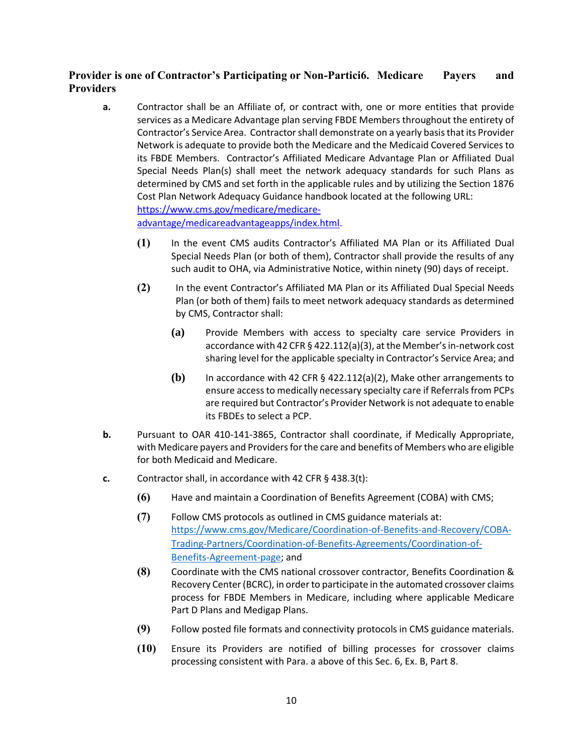# **Provider is one of Contractor's Participating or Non-Partici6. Medicare Payers and Providers**

- **a.** Contractor shall be an Affiliate of, or contract with, one or more entities that provide services as a Medicare Advantage plan serving FBDE Members throughout the entirety of Contractor's Service Area. Contractor shall demonstrate on a yearly basis that its Provider Network is adequate to provide both the Medicare and the Medicaid Covered Services to its FBDE Members. Contractor's Affiliated Medicare Advantage Plan or Affiliated Dual Special Needs Plan(s) shall meet the network adequacy standards for such Plans as determined by CMS and set forth in the applicable rules and by utilizing the Section 1876 Cost Plan Network Adequacy Guidance handbook located at the following URL: [https://www.cms.gov/medicare/medicare](https://www.cms.gov/medicare/medicare-advantage/medicareadvantageapps/index.html)[advantage/medicareadvantageapps/index.html.](https://www.cms.gov/medicare/medicare-advantage/medicareadvantageapps/index.html)
	- **(1)** In the event CMS audits Contractor's Affiliated MA Plan or its Affiliated Dual Special Needs Plan (or both of them), Contractor shall provide the results of any such audit to OHA, via Administrative Notice, within ninety (90) days of receipt.
	- **(2)** In the event Contractor's Affiliated MA Plan or its Affiliated Dual Special Needs Plan (or both of them) fails to meet network adequacy standards as determined by CMS, Contractor shall:
		- **(a)** Provide Members with access to specialty care service Providers in accordance with 42 CFR § 422.112(a)(3), at the Member's in-network cost sharing level for the applicable specialty in Contractor's Service Area; and
		- **(b)** In accordance with 42 CFR § 422.112(a)(2), Make other arrangements to ensure access to medically necessary specialty care if Referrals from PCPs are required but Contractor's Provider Network is not adequate to enable its FBDEs to select a PCP.
- **b.** Pursuant to OAR 410-141-3865, Contractor shall coordinate, if Medically Appropriate, with Medicare payers and Providers for the care and benefits of Members who are eligible for both Medicaid and Medicare.
- **c.** Contractor shall, in accordance with 42 CFR § 438.3(t):
	- **(6)** Have and maintain a Coordination of Benefits Agreement (COBA) with CMS;
	- **(7)** Follow CMS protocols as outlined in CMS guidance materials at: [https://www.cms.gov/Medicare/Coordination-of-Benefits-and-Recovery/COBA-](https://www.cms.gov/Medicare/Coordination-of-Benefits-and-Recovery/COBA-Trading-Partners/Coordination-of-Benefits-Agreements/Coordination-of-Benefits-Agreement-page)[Trading-Partners/Coordination-of-Benefits-Agreements/Coordination-of-](https://www.cms.gov/Medicare/Coordination-of-Benefits-and-Recovery/COBA-Trading-Partners/Coordination-of-Benefits-Agreements/Coordination-of-Benefits-Agreement-page)[Benefits-Agreement-page;](https://www.cms.gov/Medicare/Coordination-of-Benefits-and-Recovery/COBA-Trading-Partners/Coordination-of-Benefits-Agreements/Coordination-of-Benefits-Agreement-page) and
	- **(8)** Coordinate with the CMS national crossover contractor, Benefits Coordination & Recovery Center (BCRC), in order to participate in the automated crossover claims process for FBDE Members in Medicare, including where applicable Medicare Part D Plans and Medigap Plans.
	- **(9)** Follow posted file formats and connectivity protocols in CMS guidance materials.
	- **(10)** Ensure its Providers are notified of billing processes for crossover claims processing consistent with Para. a above of this Sec. 6, Ex. B, Part 8.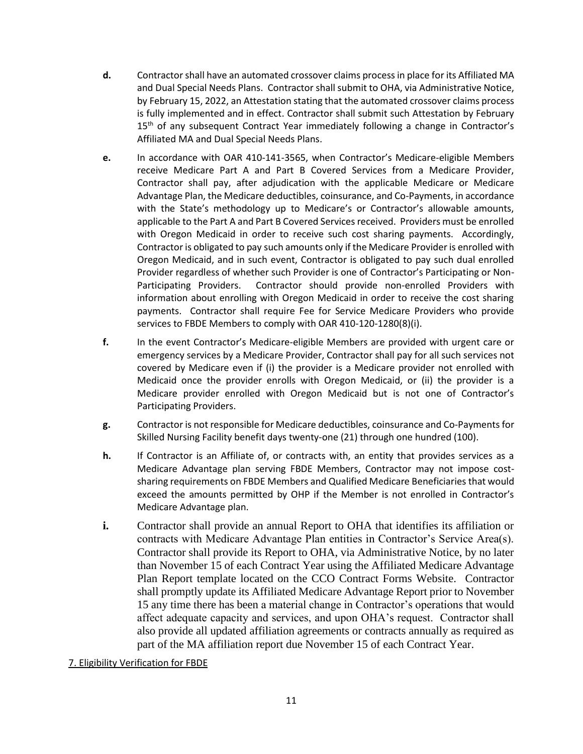- **d.** Contractor shall have an automated crossover claims process in place for its Affiliated MA and Dual Special Needs Plans. Contractor shall submit to OHA, via Administrative Notice, by February 15, 2022, an Attestation stating that the automated crossover claims process is fully implemented and in effect. Contractor shall submit such Attestation by February 15<sup>th</sup> of any subsequent Contract Year immediately following a change in Contractor's Affiliated MA and Dual Special Needs Plans.
- **e.** In accordance with OAR 410-141-3565, when Contractor's Medicare-eligible Members receive Medicare Part A and Part B Covered Services from a Medicare Provider, Contractor shall pay, after adjudication with the applicable Medicare or Medicare Advantage Plan, the Medicare deductibles, coinsurance, and Co-Payments, in accordance with the State's methodology up to Medicare's or Contractor's allowable amounts, applicable to the Part A and Part B Covered Services received. Providers must be enrolled with Oregon Medicaid in order to receive such cost sharing payments. Accordingly, Contractor is obligated to pay such amounts only if the Medicare Provider is enrolled with Oregon Medicaid, and in such event, Contractor is obligated to pay such dual enrolled Provider regardless of whether such Provider is one of Contractor's Participating or Non-Participating Providers. Contractor should provide non-enrolled Providers with information about enrolling with Oregon Medicaid in order to receive the cost sharing payments. Contractor shall require Fee for Service Medicare Providers who provide services to FBDE Members to comply with OAR 410-120-1280(8)(i).
- **f.** In the event Contractor's Medicare-eligible Members are provided with urgent care or emergency services by a Medicare Provider, Contractor shall pay for all such services not covered by Medicare even if (i) the provider is a Medicare provider not enrolled with Medicaid once the provider enrolls with Oregon Medicaid, or (ii) the provider is a Medicare provider enrolled with Oregon Medicaid but is not one of Contractor's Participating Providers.
- **g.** Contractor is not responsible for Medicare deductibles, coinsurance and Co-Payments for Skilled Nursing Facility benefit days twenty-one (21) through one hundred (100).
- **h.** If Contractor is an Affiliate of, or contracts with, an entity that provides services as a Medicare Advantage plan serving FBDE Members, Contractor may not impose costsharing requirements on FBDE Members and Qualified Medicare Beneficiaries that would exceed the amounts permitted by OHP if the Member is not enrolled in Contractor's Medicare Advantage plan.
- **i.** Contractor shall provide an annual Report to OHA that identifies its affiliation or contracts with Medicare Advantage Plan entities in Contractor's Service Area(s). Contractor shall provide its Report to OHA, via Administrative Notice, by no later than November 15 of each Contract Year using the Affiliated Medicare Advantage Plan Report template located on the CCO Contract Forms Website. Contractor shall promptly update its Affiliated Medicare Advantage Report prior to November 15 any time there has been a material change in Contractor's operations that would affect adequate capacity and services, and upon OHA's request. Contractor shall also provide all updated affiliation agreements or contracts annually as required as part of the MA affiliation report due November 15 of each Contract Year.

### 7. Eligibility Verification for FBDE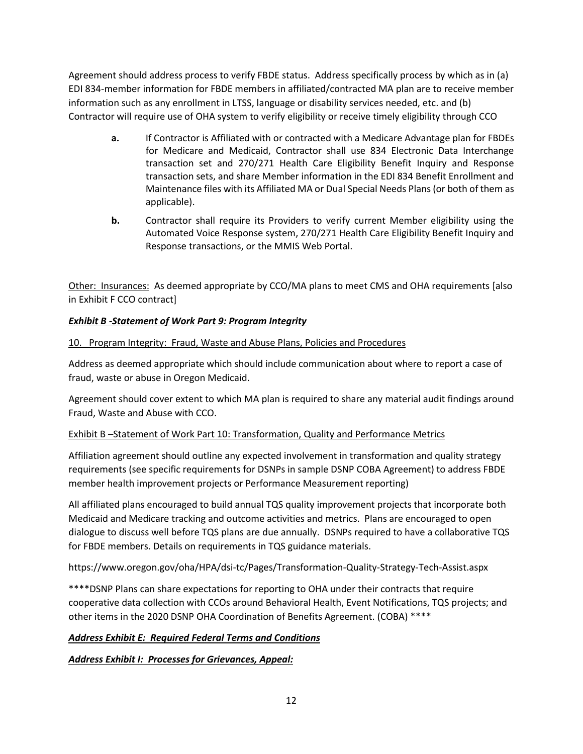Agreement should address process to verify FBDE status. Address specifically process by which as in (a) EDI 834-member information for FBDE members in affiliated/contracted MA plan are to receive member information such as any enrollment in LTSS, language or disability services needed, etc. and (b) Contractor will require use of OHA system to verify eligibility or receive timely eligibility through CCO

- **a.** If Contractor is Affiliated with or contracted with a Medicare Advantage plan for FBDEs for Medicare and Medicaid, Contractor shall use 834 Electronic Data Interchange transaction set and 270/271 Health Care Eligibility Benefit Inquiry and Response transaction sets, and share Member information in the EDI 834 Benefit Enrollment and Maintenance files with its Affiliated MA or Dual Special Needs Plans (or both of them as applicable).
- **b.** Contractor shall require its Providers to verify current Member eligibility using the Automated Voice Response system, 270/271 Health Care Eligibility Benefit Inquiry and Response transactions, or the MMIS Web Portal.

Other: Insurances: As deemed appropriate by CCO/MA plans to meet CMS and OHA requirements [also in Exhibit F CCO contract]

# *Exhibit B -Statement of Work Part 9: Program Integrity*

### 10. Program Integrity: Fraud, Waste and Abuse Plans, Policies and Procedures

Address as deemed appropriate which should include communication about where to report a case of fraud, waste or abuse in Oregon Medicaid.

Agreement should cover extent to which MA plan is required to share any material audit findings around Fraud, Waste and Abuse with CCO.

### Exhibit B –Statement of Work Part 10: Transformation, Quality and Performance Metrics

Affiliation agreement should outline any expected involvement in transformation and quality strategy requirements (see specific requirements for DSNPs in sample DSNP COBA Agreement) to address FBDE member health improvement projects or Performance Measurement reporting)

All affiliated plans encouraged to build annual TQS quality improvement projects that incorporate both Medicaid and Medicare tracking and outcome activities and metrics. Plans are encouraged to open dialogue to discuss well before TQS plans are due annually. DSNPs required to have a collaborative TQS for FBDE members. Details on requirements in TQS guidance materials.

https://www.oregon.gov/oha/HPA/dsi-tc/Pages/Transformation-Quality-Strategy-Tech-Assist.aspx

\*\*\*\*DSNP Plans can share expectations for reporting to OHA under their contracts that require cooperative data collection with CCOs around Behavioral Health, Event Notifications, TQS projects; and other items in the 2020 DSNP OHA Coordination of Benefits Agreement. (COBA) \*\*\*\*

# *Address Exhibit E: Required Federal Terms and Conditions*

### *Address Exhibit I: Processes for Grievances, Appeal:*